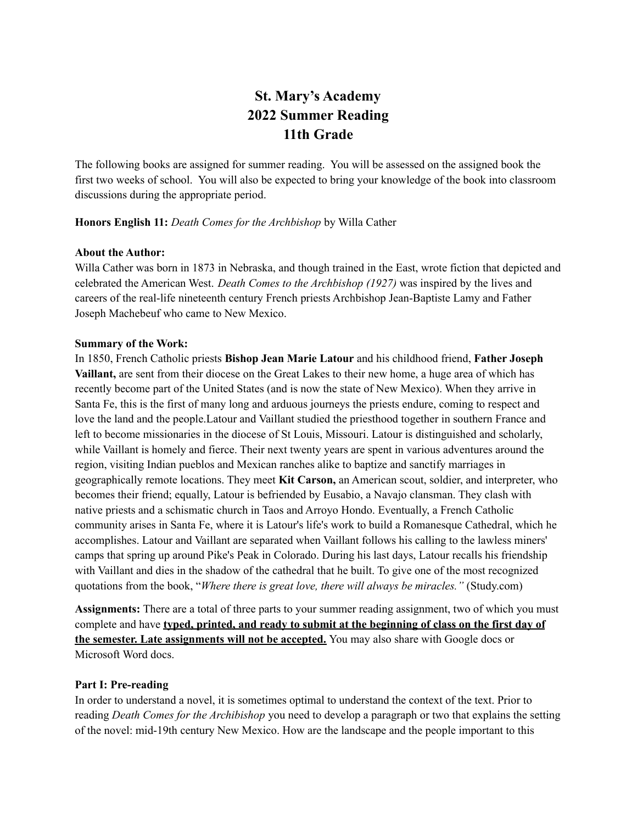# **St. Mary's Academy 2022 Summer Reading 11th Grade**

The following books are assigned for summer reading. You will be assessed on the assigned book the first two weeks of school. You will also be expected to bring your knowledge of the book into classroom discussions during the appropriate period.

#### **Honors English 11:** *Death Comes for the Archbishop* by Willa Cather

#### **About the Author:**

Willa Cather was born in 1873 in Nebraska, and though trained in the East, wrote fiction that depicted and celebrated the American West. *Death Comes to the Archbishop (1927)* was inspired by the lives and careers of the real-life nineteenth century French priests Archbishop Jean-Baptiste Lamy and Father Joseph Machebeuf who came to New Mexico.

#### **Summary of the Work:**

In 1850, French Catholic priests **Bishop Jean Marie Latour** and his childhood friend, **Father Joseph Vaillant,** are sent from their diocese on the Great Lakes to their new home, a huge area of which has recently become part of the United States (and is now the state of New Mexico). When they arrive in Santa Fe, this is the first of many long and arduous journeys the priests endure, coming to respect and love the land and the people.Latour and Vaillant studied the priesthood together in southern France and left to become missionaries in the diocese of St Louis, Missouri. Latour is distinguished and scholarly, while Vaillant is homely and fierce. Their next twenty years are spent in various adventures around the region, visiting Indian pueblos and Mexican ranches alike to baptize and sanctify marriages in geographically remote locations. They meet **Kit Carson,** an American scout, soldier, and interpreter, who becomes their friend; equally, Latour is befriended by Eusabio, a Navajo clansman. They clash with native priests and a schismatic church in Taos and Arroyo Hondo. Eventually, a French Catholic community arises in Santa Fe, where it is Latour's life's work to build a Romanesque Cathedral, which he accomplishes. Latour and Vaillant are separated when Vaillant follows his calling to the lawless miners' camps that spring up around Pike's Peak in Colorado. During his last days, Latour recalls his friendship with Vaillant and dies in the shadow of the cathedral that he built. To give one of the most recognized quotations from the book, "*Where there is great love, there will always be miracles."* (Study.com)

**Assignments:** There are a total of three parts to your summer reading assignment, two of which you must complete and have **typed, printed, and ready to submit at the beginning of class on the first day of the semester. Late assignments will not be accepted.** You may also share with Google docs or Microsoft Word docs.

### **Part I: Pre-reading**

In order to understand a novel, it is sometimes optimal to understand the context of the text. Prior to reading *Death Comes for the Archibishop* you need to develop a paragraph or two that explains the setting of the novel: mid-19th century New Mexico. How are the landscape and the people important to this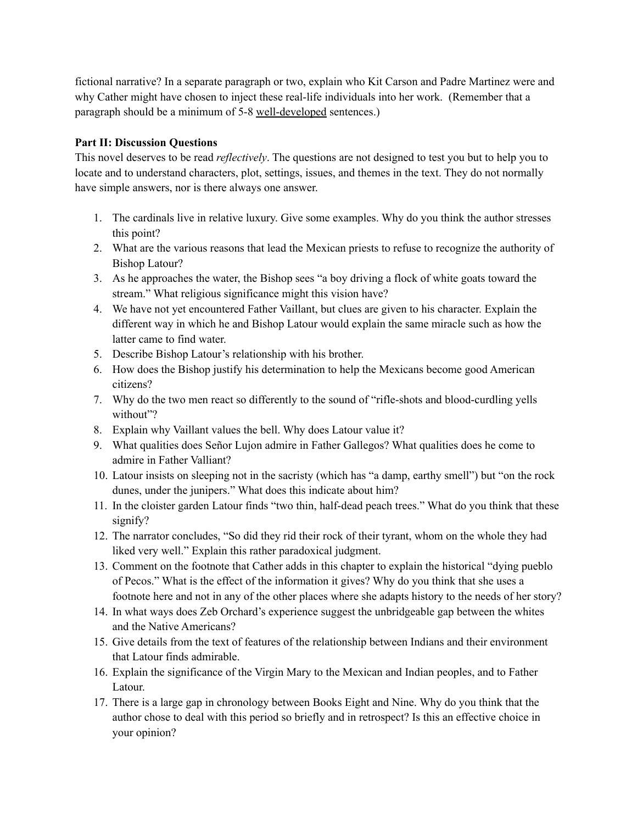fictional narrative? In a separate paragraph or two, explain who Kit Carson and Padre Martinez were and why Cather might have chosen to inject these real-life individuals into her work. (Remember that a paragraph should be a minimum of 5-8 well-developed sentences.)

## **Part II: Discussion Questions**

This novel deserves to be read *reflectively*. The questions are not designed to test you but to help you to locate and to understand characters, plot, settings, issues, and themes in the text. They do not normally have simple answers, nor is there always one answer.

- 1. The cardinals live in relative luxury. Give some examples. Why do you think the author stresses this point?
- 2. What are the various reasons that lead the Mexican priests to refuse to recognize the authority of Bishop Latour?
- 3. As he approaches the water, the Bishop sees "a boy driving a flock of white goats toward the stream." What religious significance might this vision have?
- 4. We have not yet encountered Father Vaillant, but clues are given to his character. Explain the different way in which he and Bishop Latour would explain the same miracle such as how the latter came to find water.
- 5. Describe Bishop Latour's relationship with his brother.
- 6. How does the Bishop justify his determination to help the Mexicans become good American citizens?
- 7. Why do the two men react so differently to the sound of "rifle-shots and blood-curdling yells without"?
- 8. Explain why Vaillant values the bell. Why does Latour value it?
- 9. What qualities does Señor Lujon admire in Father Gallegos? What qualities does he come to admire in Father Valliant?
- 10. Latour insists on sleeping not in the sacristy (which has "a damp, earthy smell") but "on the rock dunes, under the junipers." What does this indicate about him?
- 11. In the cloister garden Latour finds "two thin, half-dead peach trees." What do you think that these signify?
- 12. The narrator concludes, "So did they rid their rock of their tyrant, whom on the whole they had liked very well." Explain this rather paradoxical judgment.
- 13. Comment on the footnote that Cather adds in this chapter to explain the historical "dying pueblo of Pecos." What is the effect of the information it gives? Why do you think that she uses a footnote here and not in any of the other places where she adapts history to the needs of her story?
- 14. In what ways does Zeb Orchard's experience suggest the unbridgeable gap between the whites and the Native Americans?
- 15. Give details from the text of features of the relationship between Indians and their environment that Latour finds admirable.
- 16. Explain the significance of the Virgin Mary to the Mexican and Indian peoples, and to Father Latour.
- 17. There is a large gap in chronology between Books Eight and Nine. Why do you think that the author chose to deal with this period so briefly and in retrospect? Is this an effective choice in your opinion?